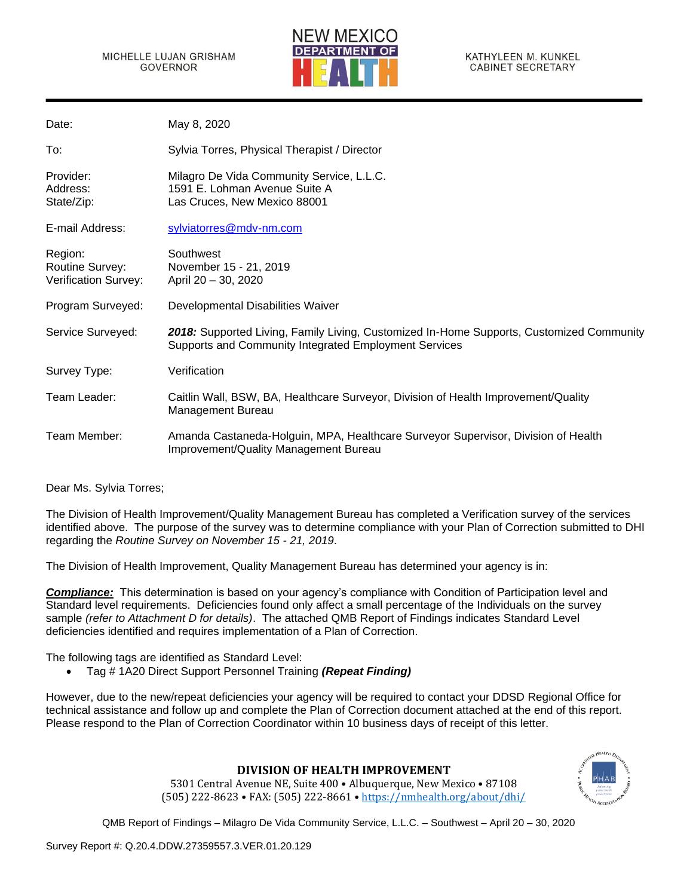

| Date:                                                     | May 8, 2020                                                                                                                                       |
|-----------------------------------------------------------|---------------------------------------------------------------------------------------------------------------------------------------------------|
| To:                                                       | Sylvia Torres, Physical Therapist / Director                                                                                                      |
| Provider:<br>Address:<br>State/Zip:                       | Milagro De Vida Community Service, L.L.C.<br>1591 E. Lohman Avenue Suite A<br>Las Cruces, New Mexico 88001                                        |
| E-mail Address:                                           | sylviatorres@mdv-nm.com                                                                                                                           |
| Region:<br><b>Routine Survey:</b><br>Verification Survey: | Southwest<br>November 15 - 21, 2019<br>April 20 - 30, 2020                                                                                        |
| Program Surveyed:                                         | Developmental Disabilities Waiver                                                                                                                 |
| Service Surveyed:                                         | 2018: Supported Living, Family Living, Customized In-Home Supports, Customized Community<br>Supports and Community Integrated Employment Services |
| Survey Type:                                              | Verification                                                                                                                                      |
| Team Leader:                                              | Caitlin Wall, BSW, BA, Healthcare Surveyor, Division of Health Improvement/Quality<br>Management Bureau                                           |
| Team Member:                                              | Amanda Castaneda-Holguin, MPA, Healthcare Surveyor Supervisor, Division of Health<br>Improvement/Quality Management Bureau                        |

Dear Ms. Sylvia Torres;

The Division of Health Improvement/Quality Management Bureau has completed a Verification survey of the services identified above. The purpose of the survey was to determine compliance with your Plan of Correction submitted to DHI regarding the *Routine Survey on November 15 - 21, 2019*.

The Division of Health Improvement, Quality Management Bureau has determined your agency is in:

*Compliance:* This determination is based on your agency's compliance with Condition of Participation level and Standard level requirements. Deficiencies found only affect a small percentage of the Individuals on the survey sample *(refer to Attachment D for details)*. The attached QMB Report of Findings indicates Standard Level deficiencies identified and requires implementation of a Plan of Correction.

The following tags are identified as Standard Level:

• Tag # 1A20 Direct Support Personnel Training *(Repeat Finding)*

However, due to the new/repeat deficiencies your agency will be required to contact your DDSD Regional Office for technical assistance and follow up and complete the Plan of Correction document attached at the end of this report. Please respond to the Plan of Correction Coordinator within 10 business days of receipt of this letter.

## **DIVISION OF HEALTH IMPROVEMENT**

5301 Central Avenue NE, Suite 400 • Albuquerque, New Mexico • 87108 (505) 222-8623 • FAX: (505) 222-8661 • <https://nmhealth.org/about/dhi/>

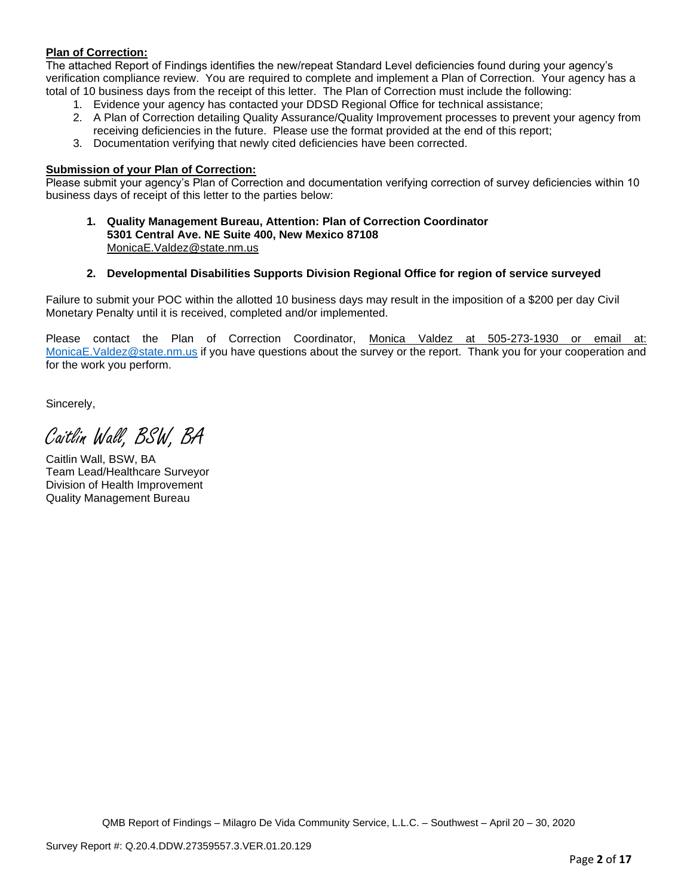## **Plan of Correction:**

The attached Report of Findings identifies the new/repeat Standard Level deficiencies found during your agency's verification compliance review. You are required to complete and implement a Plan of Correction. Your agency has a total of 10 business days from the receipt of this letter. The Plan of Correction must include the following:

- 1. Evidence your agency has contacted your DDSD Regional Office for technical assistance;
- 2. A Plan of Correction detailing Quality Assurance/Quality Improvement processes to prevent your agency from receiving deficiencies in the future. Please use the format provided at the end of this report;
- 3. Documentation verifying that newly cited deficiencies have been corrected.

#### **Submission of your Plan of Correction:**

Please submit your agency's Plan of Correction and documentation verifying correction of survey deficiencies within 10 business days of receipt of this letter to the parties below:

**1. Quality Management Bureau, Attention: Plan of Correction Coordinator 5301 Central Ave. NE Suite 400, New Mexico 87108** [MonicaE.Valdez@state.nm.us](mailto:MonicaE.Valdez@state.nm.us)

#### **2. Developmental Disabilities Supports Division Regional Office for region of service surveyed**

Failure to submit your POC within the allotted 10 business days may result in the imposition of a \$200 per day Civil Monetary Penalty until it is received, completed and/or implemented.

Please contact the Plan of Correction Coordinator, Monica Valdez at 505-273-1930 or email at: [MonicaE.Valdez@state.nm.us](mailto:MonicaE.Valdez@state.nm.us) if you have questions about the survey or the report. Thank you for your cooperation and for the work you perform.

Sincerely,

Caitlin Wall, BSW, BA

Caitlin Wall, BSW, BA Team Lead/Healthcare Surveyor Division of Health Improvement Quality Management Bureau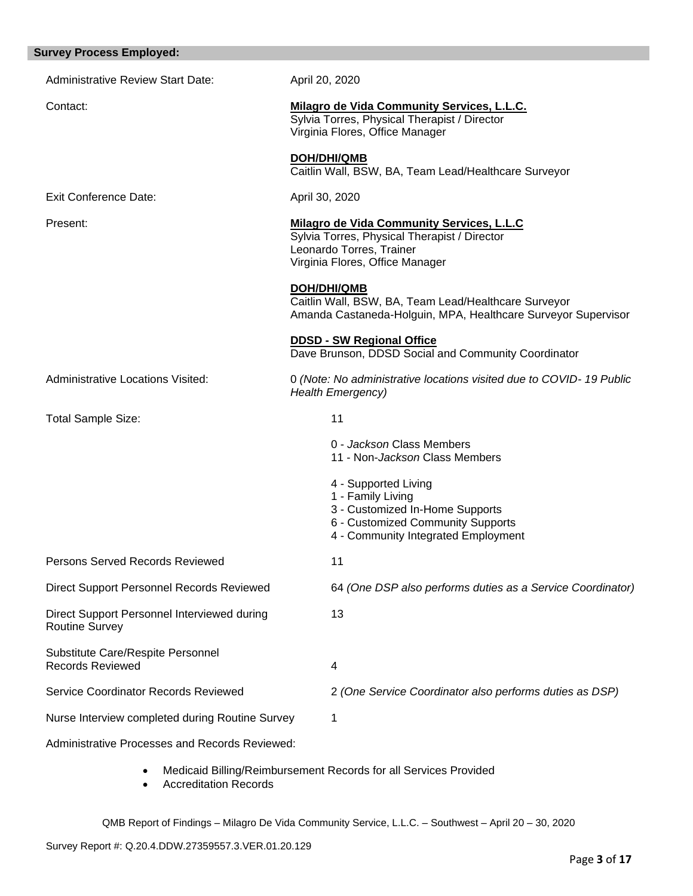| <b>Survey Process Employed:</b>                                      |                                                                                                                                                                 |
|----------------------------------------------------------------------|-----------------------------------------------------------------------------------------------------------------------------------------------------------------|
| <b>Administrative Review Start Date:</b>                             | April 20, 2020                                                                                                                                                  |
| Contact:                                                             | Milagro de Vida Community Services, L.L.C.<br>Sylvia Torres, Physical Therapist / Director<br>Virginia Flores, Office Manager                                   |
|                                                                      | DOH/DHI/QMB<br>Caitlin Wall, BSW, BA, Team Lead/Healthcare Surveyor                                                                                             |
| <b>Exit Conference Date:</b>                                         | April 30, 2020                                                                                                                                                  |
| Present:                                                             | <b>Milagro de Vida Community Services, L.L.C</b><br>Sylvia Torres, Physical Therapist / Director<br>Leonardo Torres, Trainer<br>Virginia Flores, Office Manager |
|                                                                      | <b>DOH/DHI/QMB</b><br>Caitlin Wall, BSW, BA, Team Lead/Healthcare Surveyor<br>Amanda Castaneda-Holguin, MPA, Healthcare Surveyor Supervisor                     |
|                                                                      | <b>DDSD - SW Regional Office</b><br>Dave Brunson, DDSD Social and Community Coordinator                                                                         |
| <b>Administrative Locations Visited:</b>                             | 0 (Note: No administrative locations visited due to COVID-19 Public<br><b>Health Emergency)</b>                                                                 |
| Total Sample Size:                                                   | 11                                                                                                                                                              |
|                                                                      | 0 - Jackson Class Members<br>11 - Non-Jackson Class Members                                                                                                     |
|                                                                      | 4 - Supported Living<br>1 - Family Living<br>3 - Customized In-Home Supports<br>6 - Customized Community Supports<br>4 - Community Integrated Employment        |
| Persons Served Records Reviewed                                      | 11                                                                                                                                                              |
| <b>Direct Support Personnel Records Reviewed</b>                     | 64 (One DSP also performs duties as a Service Coordinator)                                                                                                      |
| Direct Support Personnel Interviewed during<br><b>Routine Survey</b> | 13                                                                                                                                                              |
| Substitute Care/Respite Personnel<br><b>Records Reviewed</b>         | 4                                                                                                                                                               |
| Service Coordinator Records Reviewed                                 | 2 (One Service Coordinator also performs duties as DSP)                                                                                                         |
| Nurse Interview completed during Routine Survey                      | 1                                                                                                                                                               |
| Administrative Processes and Records Reviewed:                       |                                                                                                                                                                 |
| $\bullet$                                                            | Medicaid Billing/Reimbursement Records for all Services Provided                                                                                                |

• Accreditation Records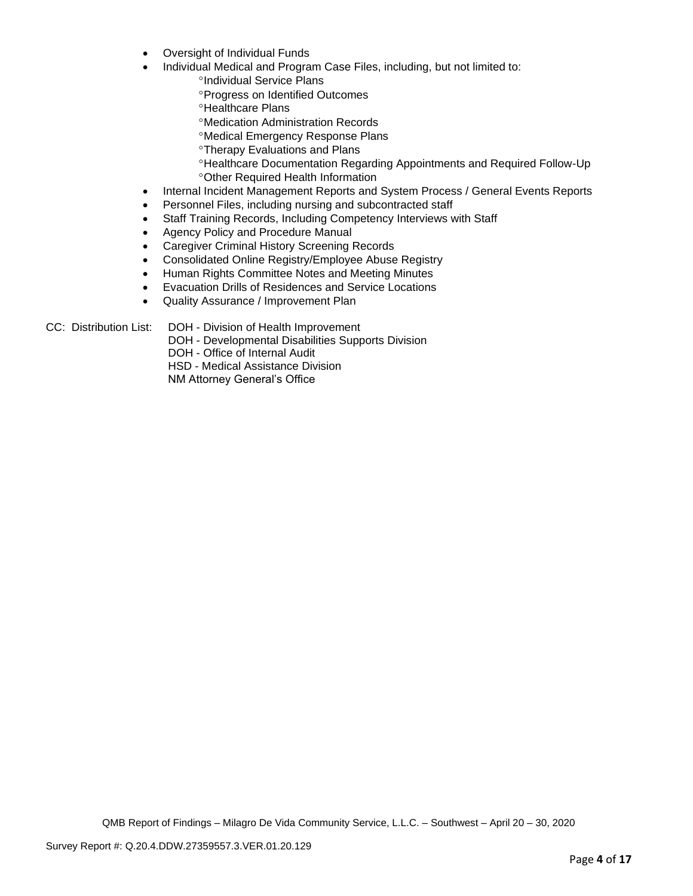- Oversight of Individual Funds
- Individual Medical and Program Case Files, including, but not limited to:
	- <sup>o</sup>Individual Service Plans
	- Progress on Identified Outcomes
	- <sup>o</sup>Healthcare Plans
	- Medication Administration Records
	- Medical Emergency Response Plans
	- **<sup>o</sup>Therapy Evaluations and Plans**
	- Healthcare Documentation Regarding Appointments and Required Follow-Up Other Required Health Information
- Internal Incident Management Reports and System Process / General Events Reports
- Personnel Files, including nursing and subcontracted staff
- Staff Training Records, Including Competency Interviews with Staff
- Agency Policy and Procedure Manual
- Caregiver Criminal History Screening Records
- Consolidated Online Registry/Employee Abuse Registry
- Human Rights Committee Notes and Meeting Minutes
- Evacuation Drills of Residences and Service Locations
- Quality Assurance / Improvement Plan

CC: Distribution List: DOH - Division of Health Improvement

DOH - Developmental Disabilities Supports Division

DOH - Office of Internal Audit

HSD - Medical Assistance Division

NM Attorney General's Office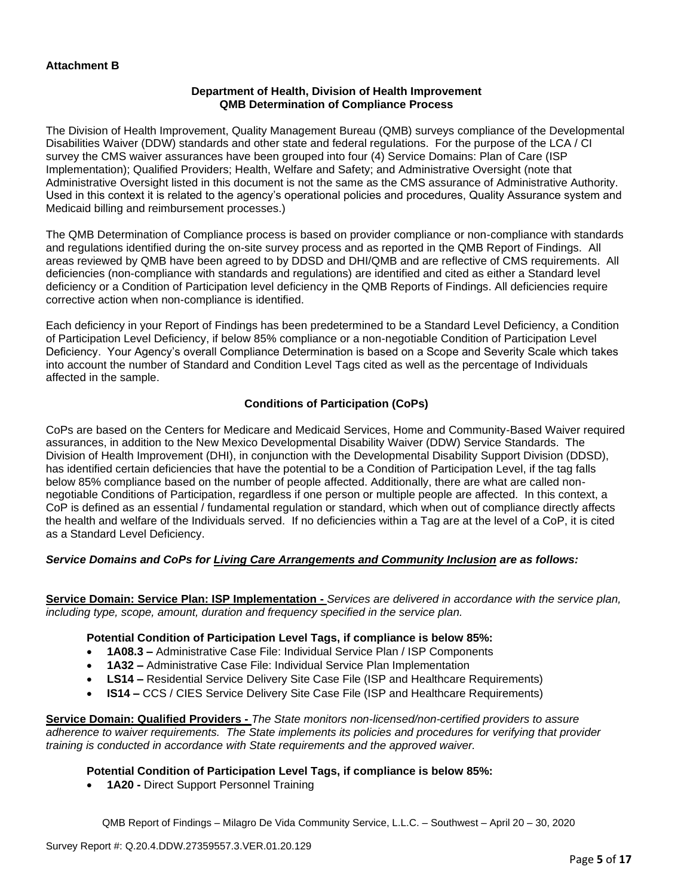### **Department of Health, Division of Health Improvement QMB Determination of Compliance Process**

The Division of Health Improvement, Quality Management Bureau (QMB) surveys compliance of the Developmental Disabilities Waiver (DDW) standards and other state and federal regulations. For the purpose of the LCA / CI survey the CMS waiver assurances have been grouped into four (4) Service Domains: Plan of Care (ISP Implementation); Qualified Providers; Health, Welfare and Safety; and Administrative Oversight (note that Administrative Oversight listed in this document is not the same as the CMS assurance of Administrative Authority. Used in this context it is related to the agency's operational policies and procedures, Quality Assurance system and Medicaid billing and reimbursement processes.)

The QMB Determination of Compliance process is based on provider compliance or non-compliance with standards and regulations identified during the on-site survey process and as reported in the QMB Report of Findings. All areas reviewed by QMB have been agreed to by DDSD and DHI/QMB and are reflective of CMS requirements. All deficiencies (non-compliance with standards and regulations) are identified and cited as either a Standard level deficiency or a Condition of Participation level deficiency in the QMB Reports of Findings. All deficiencies require corrective action when non-compliance is identified.

Each deficiency in your Report of Findings has been predetermined to be a Standard Level Deficiency, a Condition of Participation Level Deficiency, if below 85% compliance or a non-negotiable Condition of Participation Level Deficiency. Your Agency's overall Compliance Determination is based on a Scope and Severity Scale which takes into account the number of Standard and Condition Level Tags cited as well as the percentage of Individuals affected in the sample.

## **Conditions of Participation (CoPs)**

CoPs are based on the Centers for Medicare and Medicaid Services, Home and Community-Based Waiver required assurances, in addition to the New Mexico Developmental Disability Waiver (DDW) Service Standards. The Division of Health Improvement (DHI), in conjunction with the Developmental Disability Support Division (DDSD), has identified certain deficiencies that have the potential to be a Condition of Participation Level, if the tag falls below 85% compliance based on the number of people affected. Additionally, there are what are called nonnegotiable Conditions of Participation, regardless if one person or multiple people are affected. In this context, a CoP is defined as an essential / fundamental regulation or standard, which when out of compliance directly affects the health and welfare of the Individuals served. If no deficiencies within a Tag are at the level of a CoP, it is cited as a Standard Level Deficiency.

## *Service Domains and CoPs for Living Care Arrangements and Community Inclusion are as follows:*

**Service Domain: Service Plan: ISP Implementation -** *Services are delivered in accordance with the service plan, including type, scope, amount, duration and frequency specified in the service plan.*

#### **Potential Condition of Participation Level Tags, if compliance is below 85%:**

- **1A08.3 –** Administrative Case File: Individual Service Plan / ISP Components
- **1A32 –** Administrative Case File: Individual Service Plan Implementation
- **LS14 –** Residential Service Delivery Site Case File (ISP and Healthcare Requirements)
- **IS14 –** CCS / CIES Service Delivery Site Case File (ISP and Healthcare Requirements)

**Service Domain: Qualified Providers -** *The State monitors non-licensed/non-certified providers to assure adherence to waiver requirements. The State implements its policies and procedures for verifying that provider training is conducted in accordance with State requirements and the approved waiver.*

### **Potential Condition of Participation Level Tags, if compliance is below 85%:**

• **1A20 -** Direct Support Personnel Training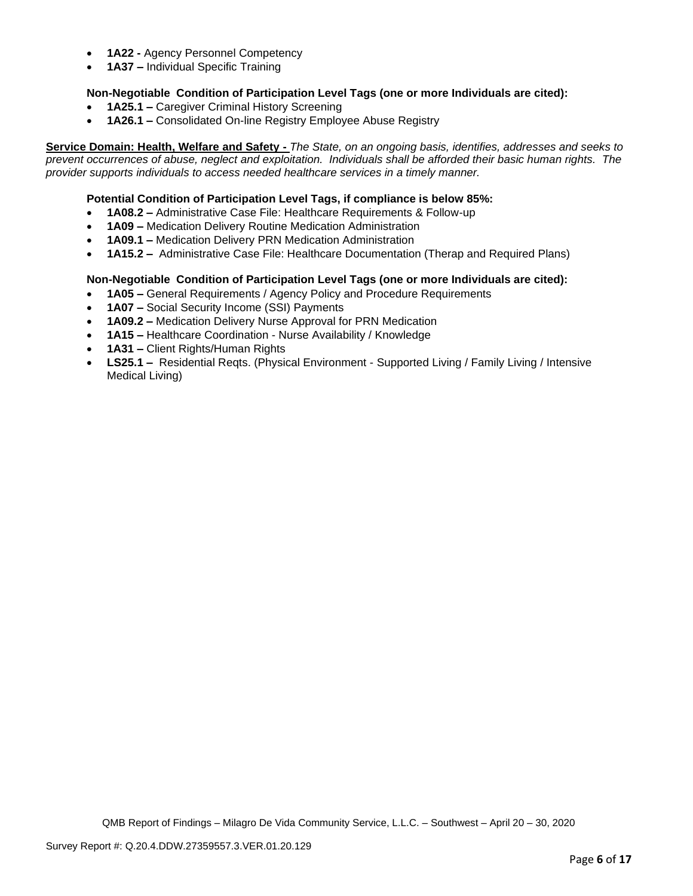- **1A22 -** Agency Personnel Competency
- **1A37 –** Individual Specific Training

### **Non-Negotiable Condition of Participation Level Tags (one or more Individuals are cited):**

- **1A25.1 –** Caregiver Criminal History Screening
- **1A26.1 –** Consolidated On-line Registry Employee Abuse Registry

**Service Domain: Health, Welfare and Safety -** *The State, on an ongoing basis, identifies, addresses and seeks to prevent occurrences of abuse, neglect and exploitation. Individuals shall be afforded their basic human rights. The provider supports individuals to access needed healthcare services in a timely manner.*

### **Potential Condition of Participation Level Tags, if compliance is below 85%:**

- **1A08.2 –** Administrative Case File: Healthcare Requirements & Follow-up
- **1A09 –** Medication Delivery Routine Medication Administration
- **1A09.1 –** Medication Delivery PRN Medication Administration
- **1A15.2 –** Administrative Case File: Healthcare Documentation (Therap and Required Plans)

### **Non-Negotiable Condition of Participation Level Tags (one or more Individuals are cited):**

- **1A05 –** General Requirements / Agency Policy and Procedure Requirements
- **1A07 –** Social Security Income (SSI) Payments
- **1A09.2 –** Medication Delivery Nurse Approval for PRN Medication
- **1A15 –** Healthcare Coordination Nurse Availability / Knowledge
- **1A31 –** Client Rights/Human Rights
- **LS25.1 –** Residential Reqts. (Physical Environment Supported Living / Family Living / Intensive Medical Living)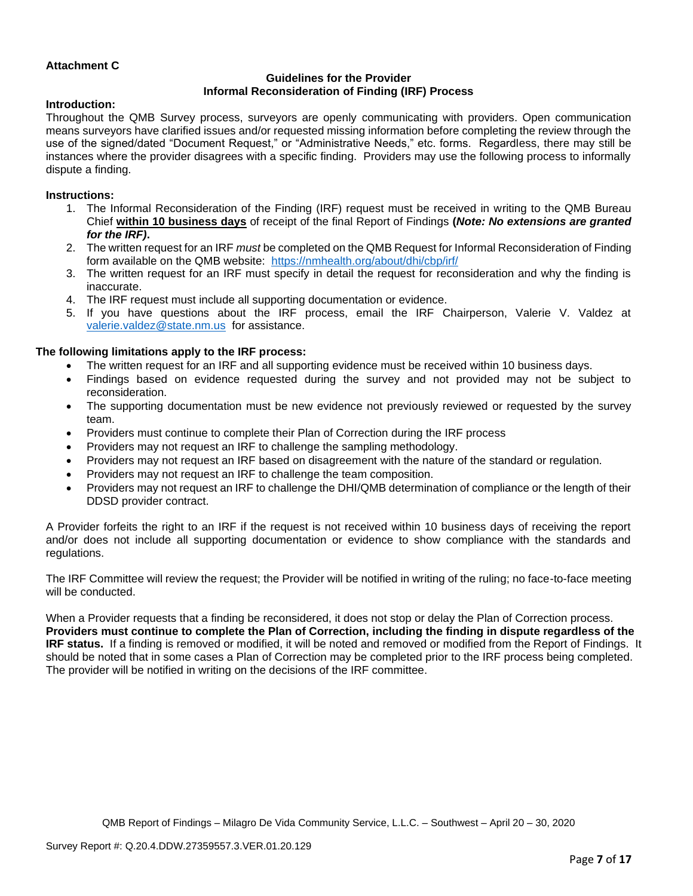### **Attachment C**

## **Guidelines for the Provider Informal Reconsideration of Finding (IRF) Process**

#### **Introduction:**

Throughout the QMB Survey process, surveyors are openly communicating with providers. Open communication means surveyors have clarified issues and/or requested missing information before completing the review through the use of the signed/dated "Document Request," or "Administrative Needs," etc. forms. Regardless, there may still be instances where the provider disagrees with a specific finding. Providers may use the following process to informally dispute a finding.

### **Instructions:**

- 1. The Informal Reconsideration of the Finding (IRF) request must be received in writing to the QMB Bureau Chief **within 10 business days** of receipt of the final Report of Findings **(***Note: No extensions are granted for the IRF)***.**
- 2. The written request for an IRF *must* be completed on the QMB Request for Informal Reconsideration of Finding form available on the QMB website: <https://nmhealth.org/about/dhi/cbp/irf/>
- 3. The written request for an IRF must specify in detail the request for reconsideration and why the finding is inaccurate.
- 4. The IRF request must include all supporting documentation or evidence.
- 5. If you have questions about the IRF process, email the IRF Chairperson, Valerie V. Valdez at [valerie.valdez@state.nm.us](mailto:valerie.valdez@state.nm.us) for assistance.

### **The following limitations apply to the IRF process:**

- The written request for an IRF and all supporting evidence must be received within 10 business days.
- Findings based on evidence requested during the survey and not provided may not be subject to reconsideration.
- The supporting documentation must be new evidence not previously reviewed or requested by the survey team.
- Providers must continue to complete their Plan of Correction during the IRF process
- Providers may not request an IRF to challenge the sampling methodology.
- Providers may not request an IRF based on disagreement with the nature of the standard or regulation.
- Providers may not request an IRF to challenge the team composition.
- Providers may not request an IRF to challenge the DHI/QMB determination of compliance or the length of their DDSD provider contract.

A Provider forfeits the right to an IRF if the request is not received within 10 business days of receiving the report and/or does not include all supporting documentation or evidence to show compliance with the standards and regulations.

The IRF Committee will review the request; the Provider will be notified in writing of the ruling; no face-to-face meeting will be conducted.

When a Provider requests that a finding be reconsidered, it does not stop or delay the Plan of Correction process. **Providers must continue to complete the Plan of Correction, including the finding in dispute regardless of the IRF status.** If a finding is removed or modified, it will be noted and removed or modified from the Report of Findings. It should be noted that in some cases a Plan of Correction may be completed prior to the IRF process being completed. The provider will be notified in writing on the decisions of the IRF committee.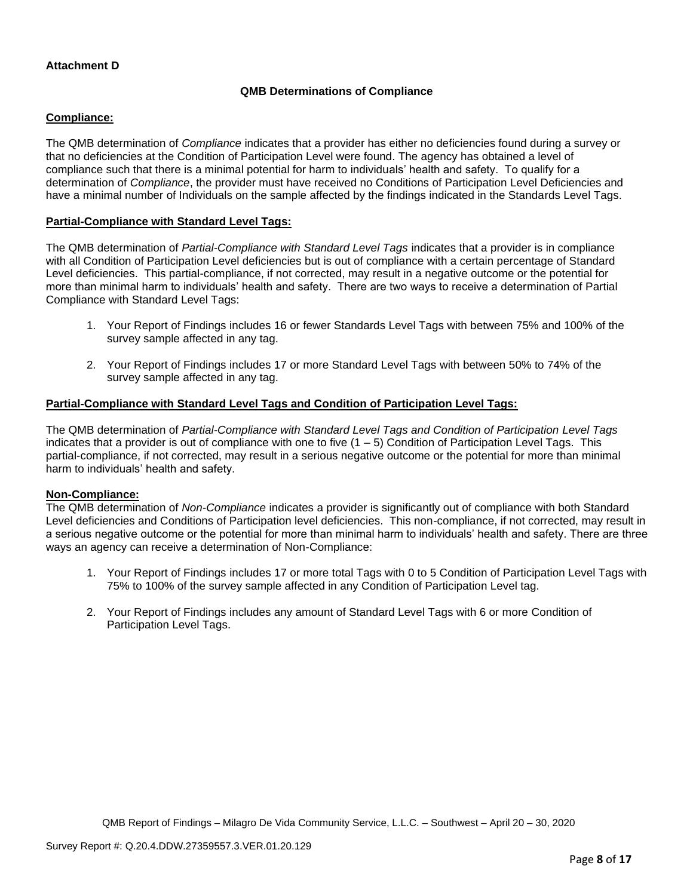### **QMB Determinations of Compliance**

### **Compliance:**

The QMB determination of *Compliance* indicates that a provider has either no deficiencies found during a survey or that no deficiencies at the Condition of Participation Level were found. The agency has obtained a level of compliance such that there is a minimal potential for harm to individuals' health and safety. To qualify for a determination of *Compliance*, the provider must have received no Conditions of Participation Level Deficiencies and have a minimal number of Individuals on the sample affected by the findings indicated in the Standards Level Tags.

### **Partial-Compliance with Standard Level Tags:**

The QMB determination of *Partial-Compliance with Standard Level Tags* indicates that a provider is in compliance with all Condition of Participation Level deficiencies but is out of compliance with a certain percentage of Standard Level deficiencies. This partial-compliance, if not corrected, may result in a negative outcome or the potential for more than minimal harm to individuals' health and safety. There are two ways to receive a determination of Partial Compliance with Standard Level Tags:

- 1. Your Report of Findings includes 16 or fewer Standards Level Tags with between 75% and 100% of the survey sample affected in any tag.
- 2. Your Report of Findings includes 17 or more Standard Level Tags with between 50% to 74% of the survey sample affected in any tag.

### **Partial-Compliance with Standard Level Tags and Condition of Participation Level Tags:**

The QMB determination of *Partial-Compliance with Standard Level Tags and Condition of Participation Level Tags*  indicates that a provider is out of compliance with one to five  $(1 - 5)$  Condition of Participation Level Tags. This partial-compliance, if not corrected, may result in a serious negative outcome or the potential for more than minimal harm to individuals' health and safety.

#### **Non-Compliance:**

The QMB determination of *Non-Compliance* indicates a provider is significantly out of compliance with both Standard Level deficiencies and Conditions of Participation level deficiencies. This non-compliance, if not corrected, may result in a serious negative outcome or the potential for more than minimal harm to individuals' health and safety. There are three ways an agency can receive a determination of Non-Compliance:

- 1. Your Report of Findings includes 17 or more total Tags with 0 to 5 Condition of Participation Level Tags with 75% to 100% of the survey sample affected in any Condition of Participation Level tag.
- 2. Your Report of Findings includes any amount of Standard Level Tags with 6 or more Condition of Participation Level Tags.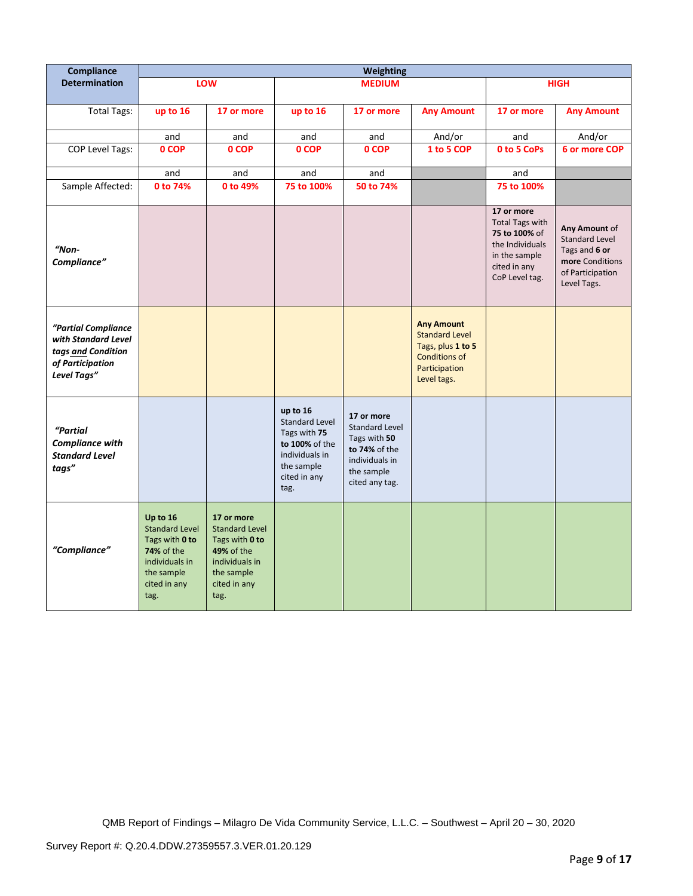| <b>Compliance</b>                                                                                   | <b>Weighting</b>                                                                                                                 |                                                                                                                                    |                                                                                                                             |                                                                                                                        |                                                                                                                         |                                                                                                                             |                                                                                                               |
|-----------------------------------------------------------------------------------------------------|----------------------------------------------------------------------------------------------------------------------------------|------------------------------------------------------------------------------------------------------------------------------------|-----------------------------------------------------------------------------------------------------------------------------|------------------------------------------------------------------------------------------------------------------------|-------------------------------------------------------------------------------------------------------------------------|-----------------------------------------------------------------------------------------------------------------------------|---------------------------------------------------------------------------------------------------------------|
| <b>Determination</b>                                                                                |                                                                                                                                  | LOW                                                                                                                                | <b>MEDIUM</b>                                                                                                               |                                                                                                                        | <b>HIGH</b>                                                                                                             |                                                                                                                             |                                                                                                               |
| <b>Total Tags:</b>                                                                                  | up to 16                                                                                                                         | 17 or more                                                                                                                         | up to 16                                                                                                                    | 17 or more                                                                                                             | <b>Any Amount</b>                                                                                                       | 17 or more                                                                                                                  | <b>Any Amount</b>                                                                                             |
|                                                                                                     | and                                                                                                                              | and                                                                                                                                | and                                                                                                                         | and                                                                                                                    | And/or                                                                                                                  | and                                                                                                                         | And/or                                                                                                        |
| <b>COP Level Tags:</b>                                                                              | 0 COP                                                                                                                            | 0 COP                                                                                                                              | 0 COP                                                                                                                       | 0 COP                                                                                                                  | 1 to 5 COP                                                                                                              | 0 to 5 CoPs                                                                                                                 | 6 or more COP                                                                                                 |
|                                                                                                     | and                                                                                                                              | and                                                                                                                                | and                                                                                                                         | and                                                                                                                    |                                                                                                                         | and                                                                                                                         |                                                                                                               |
| Sample Affected:                                                                                    | 0 to 74%                                                                                                                         | 0 to 49%                                                                                                                           | 75 to 100%                                                                                                                  | 50 to 74%                                                                                                              |                                                                                                                         | 75 to 100%                                                                                                                  |                                                                                                               |
| "Non-<br>Compliance"                                                                                |                                                                                                                                  |                                                                                                                                    |                                                                                                                             |                                                                                                                        |                                                                                                                         | 17 or more<br><b>Total Tags with</b><br>75 to 100% of<br>the Individuals<br>in the sample<br>cited in any<br>CoP Level tag. | Any Amount of<br><b>Standard Level</b><br>Tags and 6 or<br>more Conditions<br>of Participation<br>Level Tags. |
| "Partial Compliance<br>with Standard Level<br>tags and Condition<br>of Participation<br>Level Tags" |                                                                                                                                  |                                                                                                                                    |                                                                                                                             |                                                                                                                        | <b>Any Amount</b><br><b>Standard Level</b><br>Tags, plus 1 to 5<br><b>Conditions of</b><br>Participation<br>Level tags. |                                                                                                                             |                                                                                                               |
| "Partial<br><b>Compliance with</b><br><b>Standard Level</b><br>tags"                                |                                                                                                                                  |                                                                                                                                    | up to 16<br><b>Standard Level</b><br>Tags with 75<br>to 100% of the<br>individuals in<br>the sample<br>cited in any<br>tag. | 17 or more<br><b>Standard Level</b><br>Tags with 50<br>to 74% of the<br>individuals in<br>the sample<br>cited any tag. |                                                                                                                         |                                                                                                                             |                                                                                                               |
| "Compliance"                                                                                        | Up to 16<br><b>Standard Level</b><br>Tags with 0 to<br><b>74% of the</b><br>individuals in<br>the sample<br>cited in any<br>tag. | 17 or more<br><b>Standard Level</b><br>Tags with 0 to<br><b>49% of the</b><br>individuals in<br>the sample<br>cited in any<br>tag. |                                                                                                                             |                                                                                                                        |                                                                                                                         |                                                                                                                             |                                                                                                               |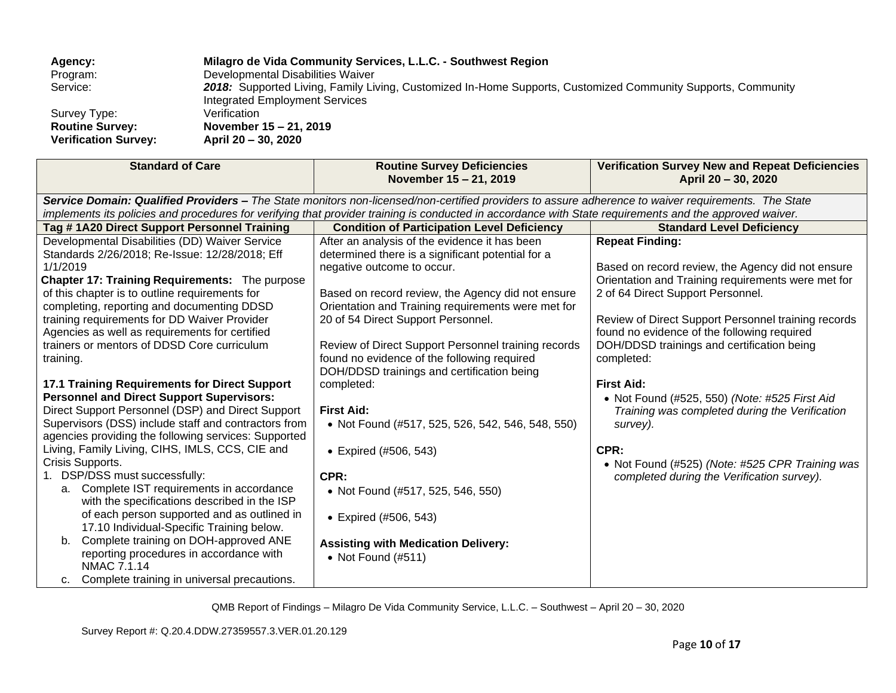| Agency:                     | Milagro de Vida Community Services, L.L.C. - Southwest Region                                                                                  |
|-----------------------------|------------------------------------------------------------------------------------------------------------------------------------------------|
| Program:                    | Developmental Disabilities Waiver                                                                                                              |
| Service:                    | 2018: Supported Living, Family Living, Customized In-Home Supports, Customized Community Supports, Community<br>Integrated Employment Services |
| Survey Type:                | Verification                                                                                                                                   |
| <b>Routine Survey:</b>      | November 15 – 21, 2019                                                                                                                         |
| <b>Verification Survey:</b> | April 20 - 30, 2020                                                                                                                            |

| <b>Standard of Care</b>                                                                    | <b>Routine Survey Deficiencies</b><br>November 15 - 21, 2019                                                                                            | <b>Verification Survey New and Repeat Deficiencies</b><br>April 20 - 30, 2020 |
|--------------------------------------------------------------------------------------------|---------------------------------------------------------------------------------------------------------------------------------------------------------|-------------------------------------------------------------------------------|
|                                                                                            | Service Domain: Qualified Providers - The State monitors non-licensed/non-certified providers to assure adherence to waiver requirements. The State     |                                                                               |
|                                                                                            | implements its policies and procedures for verifying that provider training is conducted in accordance with State requirements and the approved waiver. |                                                                               |
| Tag #1A20 Direct Support Personnel Training                                                | <b>Condition of Participation Level Deficiency</b>                                                                                                      | <b>Standard Level Deficiency</b>                                              |
| Developmental Disabilities (DD) Waiver Service                                             | After an analysis of the evidence it has been                                                                                                           | <b>Repeat Finding:</b>                                                        |
| Standards 2/26/2018; Re-Issue: 12/28/2018; Eff                                             | determined there is a significant potential for a                                                                                                       |                                                                               |
| 1/1/2019                                                                                   | negative outcome to occur.                                                                                                                              | Based on record review, the Agency did not ensure                             |
| Chapter 17: Training Requirements: The purpose                                             |                                                                                                                                                         | Orientation and Training requirements were met for                            |
| of this chapter is to outline requirements for                                             | Based on record review, the Agency did not ensure                                                                                                       | 2 of 64 Direct Support Personnel.                                             |
| completing, reporting and documenting DDSD                                                 | Orientation and Training requirements were met for                                                                                                      |                                                                               |
| training requirements for DD Waiver Provider                                               | 20 of 54 Direct Support Personnel.                                                                                                                      | Review of Direct Support Personnel training records                           |
| Agencies as well as requirements for certified                                             |                                                                                                                                                         | found no evidence of the following required                                   |
| trainers or mentors of DDSD Core curriculum                                                | Review of Direct Support Personnel training records                                                                                                     | DOH/DDSD trainings and certification being                                    |
| training.                                                                                  | found no evidence of the following required                                                                                                             | completed:                                                                    |
|                                                                                            | DOH/DDSD trainings and certification being                                                                                                              |                                                                               |
| 17.1 Training Requirements for Direct Support                                              | completed:                                                                                                                                              | <b>First Aid:</b>                                                             |
| <b>Personnel and Direct Support Supervisors:</b>                                           |                                                                                                                                                         | • Not Found (#525, 550) (Note: #525 First Aid                                 |
| Direct Support Personnel (DSP) and Direct Support                                          | <b>First Aid:</b>                                                                                                                                       | Training was completed during the Verification                                |
| Supervisors (DSS) include staff and contractors from                                       | • Not Found (#517, 525, 526, 542, 546, 548, 550)                                                                                                        | survey).                                                                      |
| agencies providing the following services: Supported                                       |                                                                                                                                                         |                                                                               |
| Living, Family Living, CIHS, IMLS, CCS, CIE and                                            | • Expired (#506, 543)                                                                                                                                   | CPR:                                                                          |
| Crisis Supports.                                                                           |                                                                                                                                                         | • Not Found (#525) (Note: #525 CPR Training was                               |
| 1. DSP/DSS must successfully:                                                              | CPR:                                                                                                                                                    | completed during the Verification survey).                                    |
| a. Complete IST requirements in accordance<br>with the specifications described in the ISP | • Not Found (#517, 525, 546, 550)                                                                                                                       |                                                                               |
| of each person supported and as outlined in                                                |                                                                                                                                                         |                                                                               |
| 17.10 Individual-Specific Training below.                                                  | • Expired (#506, 543)                                                                                                                                   |                                                                               |
| Complete training on DOH-approved ANE<br>b.                                                |                                                                                                                                                         |                                                                               |
| reporting procedures in accordance with                                                    | <b>Assisting with Medication Delivery:</b>                                                                                                              |                                                                               |
| <b>NMAC 7.1.14</b>                                                                         | • Not Found $(\#511)$                                                                                                                                   |                                                                               |
| Complete training in universal precautions.<br>c.                                          |                                                                                                                                                         |                                                                               |
|                                                                                            |                                                                                                                                                         |                                                                               |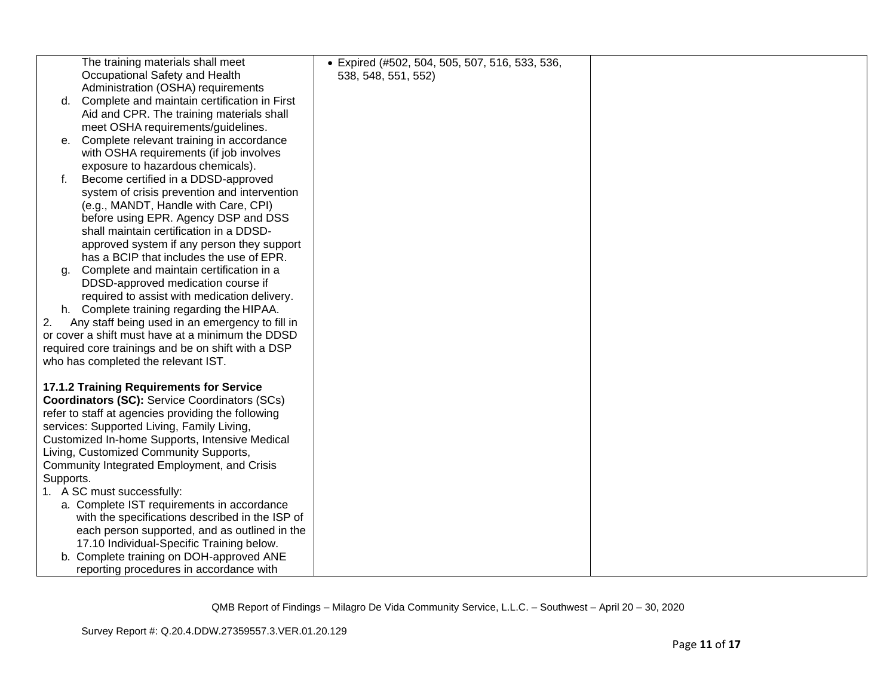|           | The training materials shall meet                                                             | · Expired (#502, 504, 505, 507, 516, 533, 536, |  |
|-----------|-----------------------------------------------------------------------------------------------|------------------------------------------------|--|
|           | Occupational Safety and Health                                                                | 538, 548, 551, 552)                            |  |
|           | Administration (OSHA) requirements                                                            |                                                |  |
| d.        | Complete and maintain certification in First                                                  |                                                |  |
|           | Aid and CPR. The training materials shall                                                     |                                                |  |
|           | meet OSHA requirements/guidelines.                                                            |                                                |  |
| е.        | Complete relevant training in accordance                                                      |                                                |  |
|           | with OSHA requirements (if job involves                                                       |                                                |  |
|           | exposure to hazardous chemicals).                                                             |                                                |  |
| f.        | Become certified in a DDSD-approved                                                           |                                                |  |
|           | system of crisis prevention and intervention                                                  |                                                |  |
|           | (e.g., MANDT, Handle with Care, CPI)                                                          |                                                |  |
|           | before using EPR. Agency DSP and DSS                                                          |                                                |  |
|           | shall maintain certification in a DDSD-                                                       |                                                |  |
|           | approved system if any person they support                                                    |                                                |  |
|           | has a BCIP that includes the use of EPR.                                                      |                                                |  |
| α.        | Complete and maintain certification in a                                                      |                                                |  |
|           | DDSD-approved medication course if                                                            |                                                |  |
|           | required to assist with medication delivery.                                                  |                                                |  |
|           | h. Complete training regarding the HIPAA.                                                     |                                                |  |
| 2.        | Any staff being used in an emergency to fill in                                               |                                                |  |
|           | or cover a shift must have at a minimum the DDSD                                              |                                                |  |
|           | required core trainings and be on shift with a DSP                                            |                                                |  |
|           | who has completed the relevant IST.                                                           |                                                |  |
|           |                                                                                               |                                                |  |
|           | 17.1.2 Training Requirements for Service                                                      |                                                |  |
|           | <b>Coordinators (SC):</b> Service Coordinators (SCs)                                          |                                                |  |
|           | refer to staff at agencies providing the following                                            |                                                |  |
|           | services: Supported Living, Family Living,                                                    |                                                |  |
|           | Customized In-home Supports, Intensive Medical                                                |                                                |  |
|           | Living, Customized Community Supports,                                                        |                                                |  |
|           | Community Integrated Employment, and Crisis                                                   |                                                |  |
| Supports. | 1. A SC must successfully:                                                                    |                                                |  |
|           |                                                                                               |                                                |  |
|           | a. Complete IST requirements in accordance<br>with the specifications described in the ISP of |                                                |  |
|           | each person supported, and as outlined in the                                                 |                                                |  |
|           | 17.10 Individual-Specific Training below.                                                     |                                                |  |
|           | b. Complete training on DOH-approved ANE                                                      |                                                |  |
|           | reporting procedures in accordance with                                                       |                                                |  |
|           |                                                                                               |                                                |  |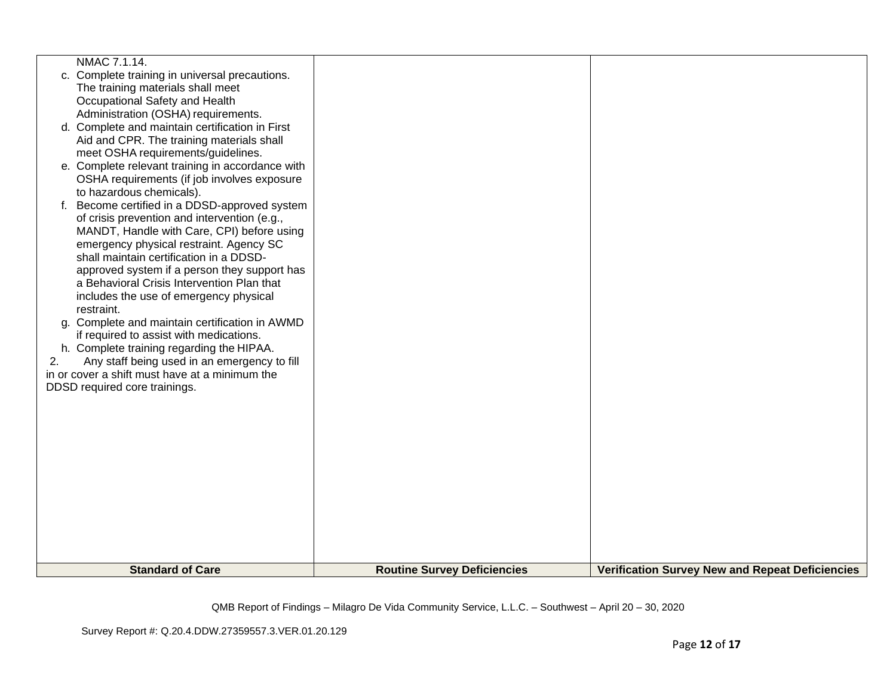| NMAC 7.1.14.                                       |                                    |                                                        |
|----------------------------------------------------|------------------------------------|--------------------------------------------------------|
| c. Complete training in universal precautions.     |                                    |                                                        |
| The training materials shall meet                  |                                    |                                                        |
| Occupational Safety and Health                     |                                    |                                                        |
| Administration (OSHA) requirements.                |                                    |                                                        |
| d. Complete and maintain certification in First    |                                    |                                                        |
| Aid and CPR. The training materials shall          |                                    |                                                        |
| meet OSHA requirements/guidelines.                 |                                    |                                                        |
| e. Complete relevant training in accordance with   |                                    |                                                        |
| OSHA requirements (if job involves exposure        |                                    |                                                        |
| to hazardous chemicals).                           |                                    |                                                        |
| Become certified in a DDSD-approved system<br>f.   |                                    |                                                        |
| of crisis prevention and intervention (e.g.,       |                                    |                                                        |
| MANDT, Handle with Care, CPI) before using         |                                    |                                                        |
| emergency physical restraint. Agency SC            |                                    |                                                        |
| shall maintain certification in a DDSD-            |                                    |                                                        |
| approved system if a person they support has       |                                    |                                                        |
| a Behavioral Crisis Intervention Plan that         |                                    |                                                        |
| includes the use of emergency physical             |                                    |                                                        |
| restraint.                                         |                                    |                                                        |
| g. Complete and maintain certification in AWMD     |                                    |                                                        |
| if required to assist with medications.            |                                    |                                                        |
| h. Complete training regarding the HIPAA.          |                                    |                                                        |
| 2.<br>Any staff being used in an emergency to fill |                                    |                                                        |
| in or cover a shift must have at a minimum the     |                                    |                                                        |
| DDSD required core trainings.                      |                                    |                                                        |
|                                                    |                                    |                                                        |
|                                                    |                                    |                                                        |
|                                                    |                                    |                                                        |
|                                                    |                                    |                                                        |
|                                                    |                                    |                                                        |
|                                                    |                                    |                                                        |
|                                                    |                                    |                                                        |
|                                                    |                                    |                                                        |
|                                                    |                                    |                                                        |
|                                                    |                                    |                                                        |
|                                                    |                                    |                                                        |
|                                                    |                                    |                                                        |
|                                                    |                                    |                                                        |
| <b>Standard of Care</b>                            | <b>Routine Survey Deficiencies</b> | <b>Verification Survey New and Repeat Deficiencies</b> |
|                                                    |                                    |                                                        |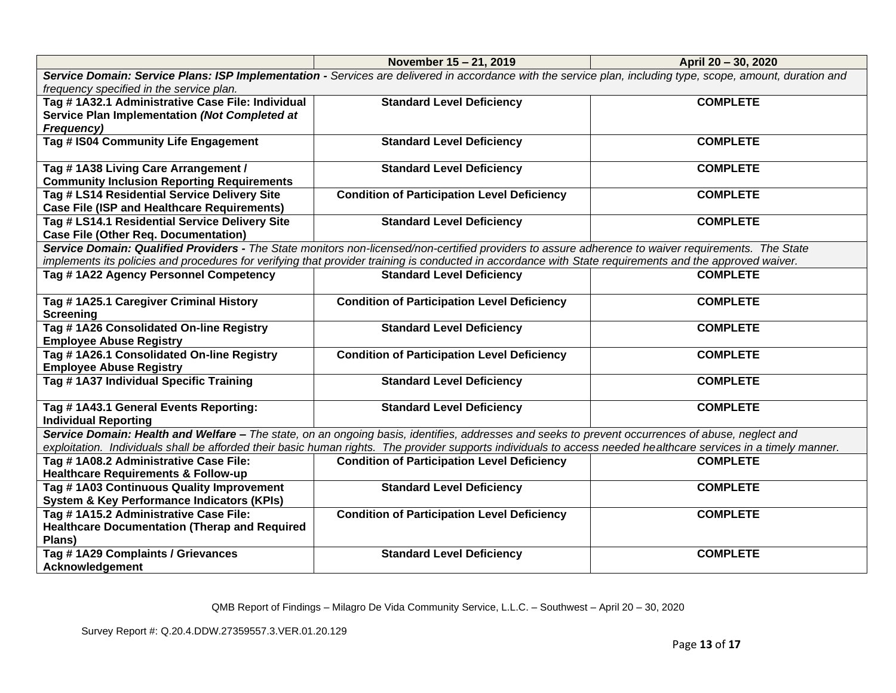|                                                       | November 15 - 21, 2019                                                                                                                                           | April 20 - 30, 2020 |
|-------------------------------------------------------|------------------------------------------------------------------------------------------------------------------------------------------------------------------|---------------------|
|                                                       | Service Domain: Service Plans: ISP Implementation - Services are delivered in accordance with the service plan, including type, scope, amount, duration and      |                     |
| frequency specified in the service plan.              |                                                                                                                                                                  |                     |
| Tag # 1A32.1 Administrative Case File: Individual     | <b>Standard Level Deficiency</b>                                                                                                                                 | <b>COMPLETE</b>     |
| Service Plan Implementation (Not Completed at         |                                                                                                                                                                  |                     |
| Frequency)                                            |                                                                                                                                                                  |                     |
| Tag # IS04 Community Life Engagement                  | <b>Standard Level Deficiency</b>                                                                                                                                 | <b>COMPLETE</b>     |
|                                                       |                                                                                                                                                                  |                     |
| Tag #1A38 Living Care Arrangement /                   | <b>Standard Level Deficiency</b>                                                                                                                                 | <b>COMPLETE</b>     |
| <b>Community Inclusion Reporting Requirements</b>     |                                                                                                                                                                  |                     |
| Tag # LS14 Residential Service Delivery Site          | <b>Condition of Participation Level Deficiency</b>                                                                                                               | <b>COMPLETE</b>     |
| <b>Case File (ISP and Healthcare Requirements)</b>    |                                                                                                                                                                  |                     |
| Tag # LS14.1 Residential Service Delivery Site        | <b>Standard Level Deficiency</b>                                                                                                                                 | <b>COMPLETE</b>     |
| <b>Case File (Other Req. Documentation)</b>           |                                                                                                                                                                  |                     |
|                                                       | Service Domain: Qualified Providers - The State monitors non-licensed/non-certified providers to assure adherence to waiver requirements. The State              |                     |
|                                                       | implements its policies and procedures for verifying that provider training is conducted in accordance with State requirements and the approved waiver.          |                     |
| Tag #1A22 Agency Personnel Competency                 | <b>Standard Level Deficiency</b>                                                                                                                                 | <b>COMPLETE</b>     |
|                                                       |                                                                                                                                                                  |                     |
| Tag # 1A25.1 Caregiver Criminal History               | <b>Condition of Participation Level Deficiency</b>                                                                                                               | <b>COMPLETE</b>     |
| <b>Screening</b>                                      |                                                                                                                                                                  |                     |
| Tag #1A26 Consolidated On-line Registry               | <b>Standard Level Deficiency</b>                                                                                                                                 | <b>COMPLETE</b>     |
| <b>Employee Abuse Registry</b>                        |                                                                                                                                                                  |                     |
| Tag #1A26.1 Consolidated On-line Registry             | <b>Condition of Participation Level Deficiency</b>                                                                                                               | <b>COMPLETE</b>     |
| <b>Employee Abuse Registry</b>                        |                                                                                                                                                                  |                     |
| Tag # 1A37 Individual Specific Training               | <b>Standard Level Deficiency</b>                                                                                                                                 | <b>COMPLETE</b>     |
|                                                       |                                                                                                                                                                  |                     |
| Tag #1A43.1 General Events Reporting:                 | <b>Standard Level Deficiency</b>                                                                                                                                 | <b>COMPLETE</b>     |
| <b>Individual Reporting</b>                           |                                                                                                                                                                  |                     |
|                                                       | Service Domain: Health and Welfare – The state, on an ongoing basis, identifies, addresses and seeks to prevent occurrences of abuse, neglect and                |                     |
|                                                       | exploitation. Individuals shall be afforded their basic human rights. The provider supports individuals to access needed healthcare services in a timely manner. |                     |
| Tag #1A08.2 Administrative Case File:                 | <b>Condition of Participation Level Deficiency</b>                                                                                                               | <b>COMPLETE</b>     |
| <b>Healthcare Requirements &amp; Follow-up</b>        |                                                                                                                                                                  |                     |
| Tag #1A03 Continuous Quality Improvement              | <b>Standard Level Deficiency</b>                                                                                                                                 | <b>COMPLETE</b>     |
| <b>System &amp; Key Performance Indicators (KPIs)</b> |                                                                                                                                                                  |                     |
| Tag #1A15.2 Administrative Case File:                 | <b>Condition of Participation Level Deficiency</b>                                                                                                               | <b>COMPLETE</b>     |
| <b>Healthcare Documentation (Therap and Required</b>  |                                                                                                                                                                  |                     |
| Plans)                                                |                                                                                                                                                                  |                     |
| Tag #1A29 Complaints / Grievances                     | <b>Standard Level Deficiency</b>                                                                                                                                 | <b>COMPLETE</b>     |
| Acknowledgement                                       |                                                                                                                                                                  |                     |
|                                                       |                                                                                                                                                                  |                     |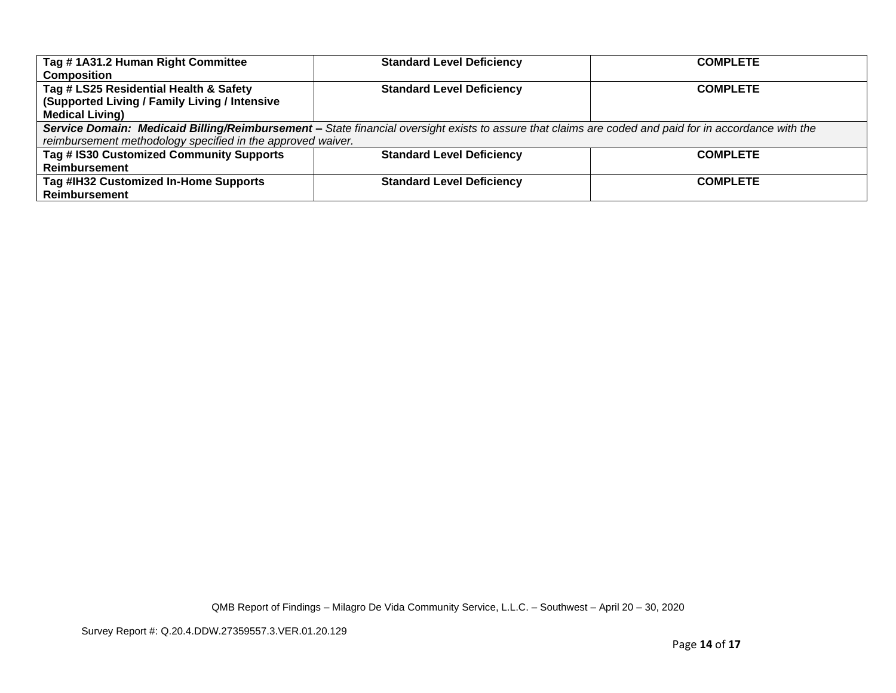| Tag #1A31.2 Human Right Committee                                                                                                                     | <b>Standard Level Deficiency</b> | <b>COMPLETE</b> |
|-------------------------------------------------------------------------------------------------------------------------------------------------------|----------------------------------|-----------------|
| <b>Composition</b>                                                                                                                                    |                                  |                 |
| Tag # LS25 Residential Health & Safety                                                                                                                | <b>Standard Level Deficiency</b> | <b>COMPLETE</b> |
| (Supported Living / Family Living / Intensive                                                                                                         |                                  |                 |
| <b>Medical Living)</b>                                                                                                                                |                                  |                 |
| Service Domain: Medicaid Billing/Reimbursement - State financial oversight exists to assure that claims are coded and paid for in accordance with the |                                  |                 |
| reimbursement methodology specified in the approved waiver.                                                                                           |                                  |                 |
| Tag # IS30 Customized Community Supports                                                                                                              | <b>Standard Level Deficiency</b> | <b>COMPLETE</b> |
| Reimbursement                                                                                                                                         |                                  |                 |
| Tag #IH32 Customized In-Home Supports                                                                                                                 | <b>Standard Level Deficiency</b> | <b>COMPLETE</b> |
| <b>Reimbursement</b>                                                                                                                                  |                                  |                 |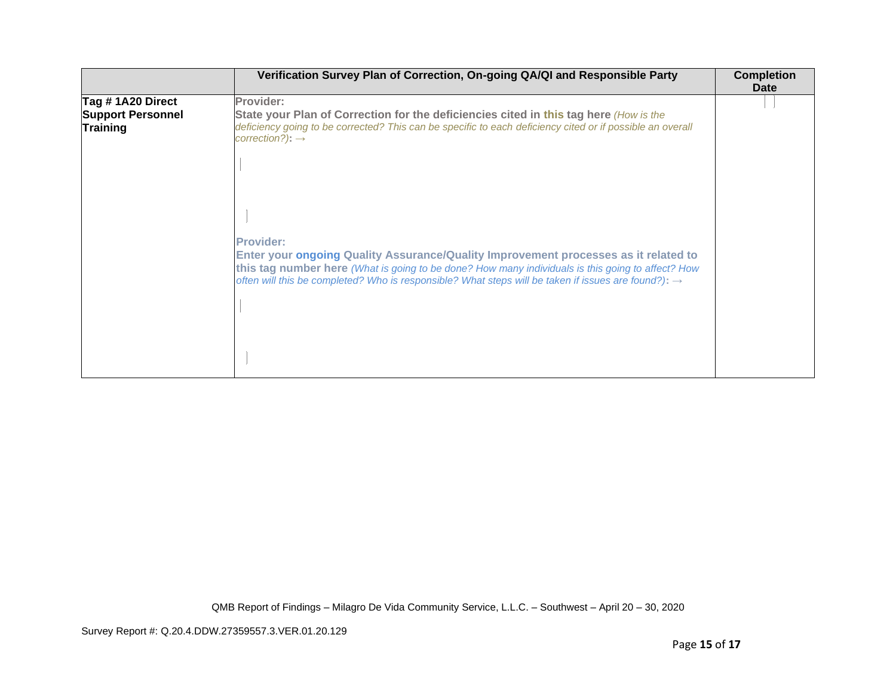|                                                                  | Verification Survey Plan of Correction, On-going QA/QI and Responsible Party                                                                                                                                                                                                                                | <b>Completion</b><br>Date |
|------------------------------------------------------------------|-------------------------------------------------------------------------------------------------------------------------------------------------------------------------------------------------------------------------------------------------------------------------------------------------------------|---------------------------|
| Tag # 1A20 Direct<br><b>Support Personnel</b><br><b>Training</b> | Provider:<br>State your Plan of Correction for the deficiencies cited in this tag here (How is the<br>deficiency going to be corrected? This can be specific to each deficiency cited or if possible an overall<br>$correction$ ?): $\rightarrow$                                                           |                           |
|                                                                  | <b>Provider:</b>                                                                                                                                                                                                                                                                                            |                           |
|                                                                  | Enter your ongoing Quality Assurance/Quality Improvement processes as it related to<br>this tag number here (What is going to be done? How many individuals is this going to affect? How<br>often will this be completed? Who is responsible? What steps will be taken if issues are found?): $\rightarrow$ |                           |
|                                                                  |                                                                                                                                                                                                                                                                                                             |                           |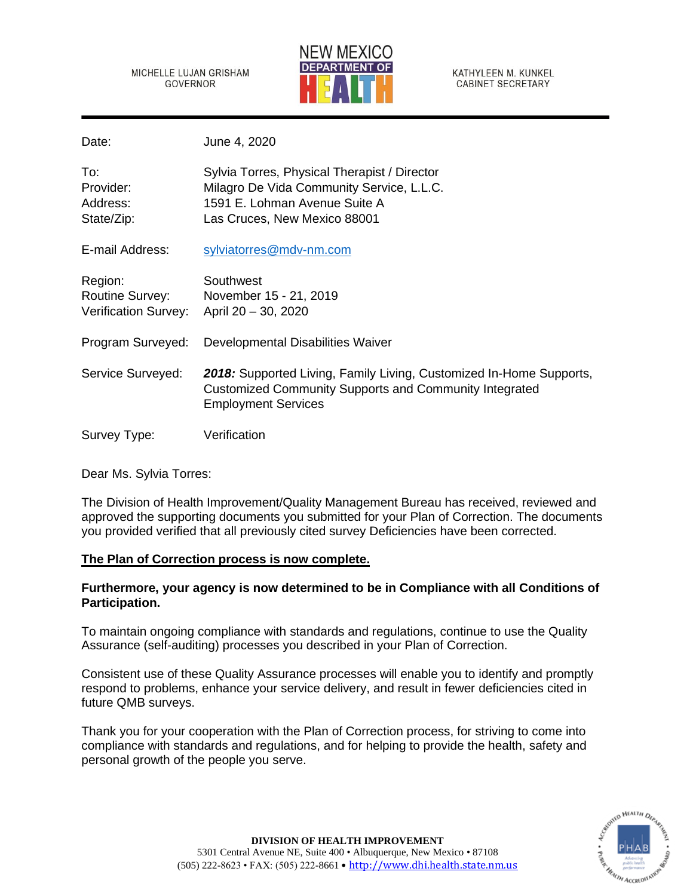MICHELLE LUJAN GRISHAM **GOVERNOR** 



KATHYLEEN M. KUNKEL **CABINET SECRETARY** 

Date: June 4, 2020

| To:<br>Provider:<br>Address:<br>State/Zip:                       | Sylvia Torres, Physical Therapist / Director<br>Milagro De Vida Community Service, L.L.C.<br>1591 E. Lohman Avenue Suite A<br>Las Cruces, New Mexico 88001         |
|------------------------------------------------------------------|--------------------------------------------------------------------------------------------------------------------------------------------------------------------|
| E-mail Address:                                                  | sylviatorres@mdv-nm.com                                                                                                                                            |
| Region:<br><b>Routine Survey:</b><br><b>Verification Survey:</b> | Southwest<br>November 15 - 21, 2019<br>April 20 - 30, 2020                                                                                                         |
| Program Surveyed:                                                | Developmental Disabilities Waiver                                                                                                                                  |
| Service Surveyed:                                                | 2018: Supported Living, Family Living, Customized In-Home Supports,<br><b>Customized Community Supports and Community Integrated</b><br><b>Employment Services</b> |
| Survey Type:                                                     | Verification                                                                                                                                                       |

Dear Ms. Sylvia Torres:

The Division of Health Improvement/Quality Management Bureau has received, reviewed and approved the supporting documents you submitted for your Plan of Correction. The documents you provided verified that all previously cited survey Deficiencies have been corrected.

## **The Plan of Correction process is now complete.**

# **Furthermore, your agency is now determined to be in Compliance with all Conditions of Participation.**

To maintain ongoing compliance with standards and regulations, continue to use the Quality Assurance (self-auditing) processes you described in your Plan of Correction.

Consistent use of these Quality Assurance processes will enable you to identify and promptly respond to problems, enhance your service delivery, and result in fewer deficiencies cited in future QMB surveys.

Thank you for your cooperation with the Plan of Correction process, for striving to come into compliance with standards and regulations, and for helping to provide the health, safety and personal growth of the people you serve.